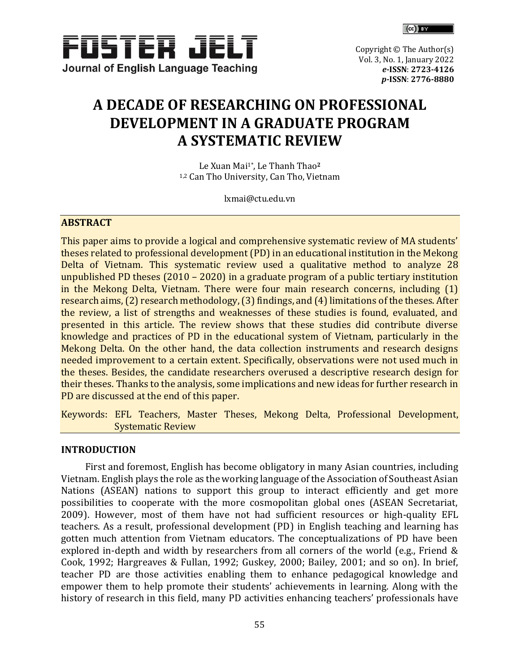

 $(c)$   $\mathbb{R}$ 

Copyright © The Author(s) Vol. 3, No. 1, January 2022 *e-***ISSN**: **[2723-4126](http://u.lipi.go.id/1593190689)** *p-***ISSN**: **[2776-8](http://u.lipi.go.id/1593190689)880**

# **A DECADE OF RESEARCHING ON PROFESSIONAL DEVELOPMENT IN A GRADUATE PROGRAM A SYSTEMATIC REVIEW**

Le Xuan Mai1\*, Le Thanh Thao**<sup>2</sup>** 1,2 Can Tho University, Can Tho, Vietnam

[lxmai@ctu.edu.vn](mailto:lxmai@ctu.edu.vn)

# **ABSTRACT**

This paper aims to provide a logical and comprehensive systematic review of MA students' theses related to professional development (PD) in an educational institution in the Mekong Delta of Vietnam. This systematic review used a qualitative method to analyze 28 unpublished PD theses (2010 – 2020) in a graduate program of a public tertiary institution in the Mekong Delta, Vietnam. There were four main research concerns, including (1) research aims, (2) research methodology, (3) findings, and (4) limitations of the theses. After the review, a list of strengths and weaknesses of these studies is found, evaluated, and presented in this article. The review shows that these studies did contribute diverse knowledge and practices of PD in the educational system of Vietnam, particularly in the Mekong Delta. On the other hand, the data collection instruments and research designs needed improvement to a certain extent. Specifically, observations were not used much in the theses. Besides, the candidate researchers overused a descriptive research design for their theses. Thanks to the analysis, some implications and new ideas for further research in PD are discussed at the end of this paper.

Keywords: EFL Teachers, Master Theses, Mekong Delta, Professional Development, Systematic Review

## **INTRODUCTION**

First and foremost, English has become obligatory in many Asian countries, including Vietnam. English plays the role as the working language of the Association of Southeast Asian Nations (ASEAN) nations to support this group to interact efficiently and get more possibilities to cooperate with the more cosmopolitan global ones (ASEAN Secretariat, 2009). However, most of them have not had sufficient resources or high-quality EFL teachers. As a result, professional development (PD) in English teaching and learning has gotten much attention from Vietnam educators. The conceptualizations of PD have been explored in-depth and width by researchers from all corners of the world (e.g., Friend & Cook, 1992; Hargreaves & Fullan, 1992; Guskey, 2000; Bailey, 2001; and so on). In brief, teacher PD are those activities enabling them to enhance pedagogical knowledge and empower them to help promote their students' achievements in learning. Along with the history of research in this field, many PD activities enhancing teachers' professionals have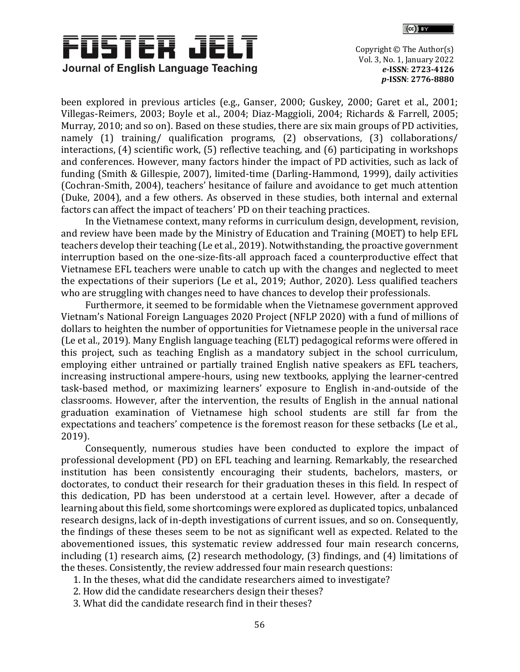



been explored in previous articles (e.g., Ganser, 2000; Guskey, 2000; Garet et al., 2001; Villegas-Reimers, 2003; Boyle et al., 2004; Diaz-Maggioli, 2004; Richards & Farrell, 2005; Murray, 2010; and so on). Based on these studies, there are six main groups of PD activities, namely (1) training/ qualification programs, (2) observations, (3) collaborations/ interactions, (4) scientific work, (5) reflective teaching, and (6) participating in workshops and conferences. However, many factors hinder the impact of PD activities, such as lack of funding (Smith & Gillespie, 2007), limited-time (Darling-Hammond, 1999), daily activities (Cochran-Smith, 2004), teachers' hesitance of failure and avoidance to get much attention (Duke, 2004), and a few others. As observed in these studies, both internal and external factors can affect the impact of teachers' PD on their teaching practices.

In the Vietnamese context, many reforms in curriculum design, development, revision, and review have been made by the Ministry of Education and Training (MOET) to help EFL teachers develop their teaching (Le et al., 2019). Notwithstanding, the proactive government interruption based on the one-size-fits-all approach faced a counterproductive effect that Vietnamese EFL teachers were unable to catch up with the changes and neglected to meet the expectations of their superiors (Le et al., 2019; Author, 2020). Less qualified teachers who are struggling with changes need to have chances to develop their professionals.

Furthermore, it seemed to be formidable when the Vietnamese government approved Vietnam's National Foreign Languages 2020 Project (NFLP 2020) with a fund of millions of dollars to heighten the number of opportunities for Vietnamese people in the universal race (Le et al., 2019). Many English language teaching (ELT) pedagogical reforms were offered in this project, such as teaching English as a mandatory subject in the school curriculum, employing either untrained or partially trained English native speakers as EFL teachers, increasing instructional ampere-hours, using new textbooks, applying the learner-centred task-based method, or maximizing learners' exposure to English in-and-outside of the classrooms. However, after the intervention, the results of English in the annual national graduation examination of Vietnamese high school students are still far from the expectations and teachers' competence is the foremost reason for these setbacks (Le et al., 2019).

Consequently, numerous studies have been conducted to explore the impact of professional development (PD) on EFL teaching and learning. Remarkably, the researched institution has been consistently encouraging their students, bachelors, masters, or doctorates, to conduct their research for their graduation theses in this field. In respect of this dedication, PD has been understood at a certain level. However, after a decade of learning about this field, some shortcomings were explored as duplicated topics, unbalanced research designs, lack of in-depth investigations of current issues, and so on. Consequently, the findings of these theses seem to be not as significant well as expected. Related to the abovementioned issues, this systematic review addressed four main research concerns, including (1) research aims, (2) research methodology, (3) findings, and (4) limitations of the theses. Consistently, the review addressed four main research questions:

- 1. In the theses, what did the candidate researchers aimed to investigate?
- 2. How did the candidate researchers design their theses?
- 3. What did the candidate research find in their theses?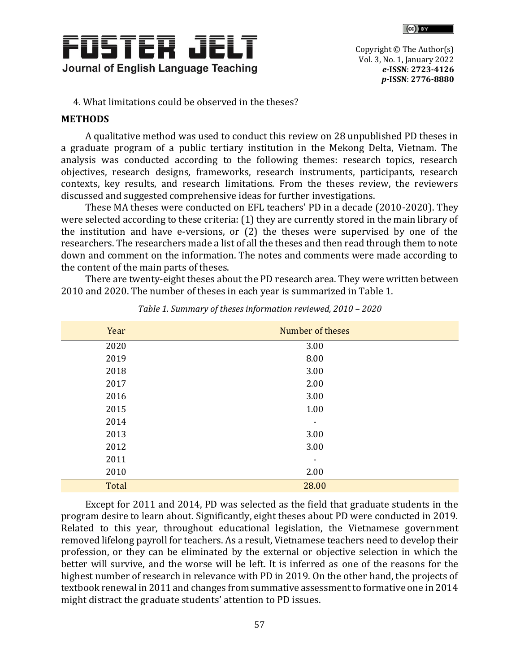



4. What limitations could be observed in the theses?

# **METHODS**

A qualitative method was used to conduct this review on 28 unpublished PD theses in a graduate program of a public tertiary institution in the Mekong Delta, Vietnam. The analysis was conducted according to the following themes: research topics, research objectives, research designs, frameworks, research instruments, participants, research contexts, key results, and research limitations. From the theses review, the reviewers discussed and suggested comprehensive ideas for further investigations.

These MA theses were conducted on EFL teachers' PD in a decade (2010-2020). They were selected according to these criteria: (1) they are currently stored in the main library of the institution and have e-versions, or (2) the theses were supervised by one of the researchers. The researchers made a list of all the theses and then read through them to note down and comment on the information. The notes and comments were made according to the content of the main parts of theses.

There are twenty-eight theses about the PD research area. They were written between 2010 and 2020. The number of theses in each year is summarized in Table 1.

| Year  | Number of theses |
|-------|------------------|
| 2020  | 3.00             |
| 2019  | 8.00             |
| 2018  | 3.00             |
| 2017  | 2.00             |
| 2016  | 3.00             |
| 2015  | 1.00             |
| 2014  | ۰                |
| 2013  | 3.00             |
| 2012  | 3.00             |
| 2011  |                  |
| 2010  | 2.00             |
| Total | 28.00            |

*Table 1. Summary of theses information reviewed, 2010 – 2020*

Except for 2011 and 2014, PD was selected as the field that graduate students in the program desire to learn about. Significantly, eight theses about PD were conducted in 2019. Related to this year, throughout educational legislation, the Vietnamese government removed lifelong payroll for teachers. As a result, Vietnamese teachers need to develop their profession, or they can be eliminated by the external or objective selection in which the better will survive, and the worse will be left. It is inferred as one of the reasons for the highest number of research in relevance with PD in 2019. On the other hand, the projects of textbook renewal in 2011 and changes from summative assessment to formative one in 2014 might distract the graduate students' attention to PD issues.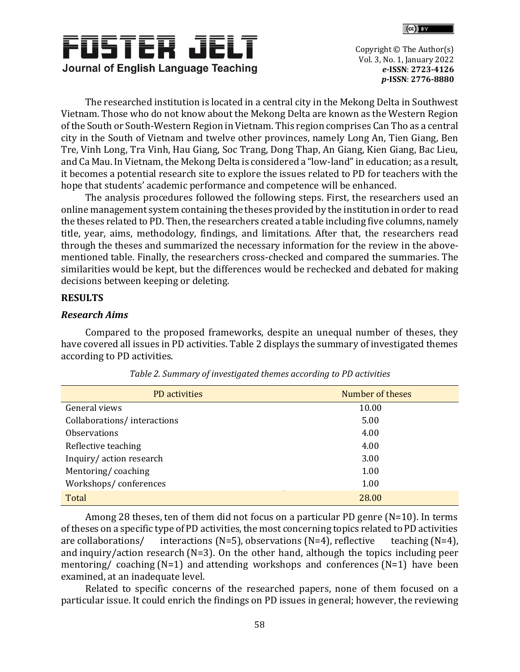



The researched institution is located in a central city in the Mekong Delta in Southwest Vietnam. Those who do not know about the Mekong Delta are known as the Western Region of the South or South-Western Region in Vietnam. This region comprises Can Tho as a central city in the South of Vietnam and twelve other provinces, namely Long An, Tien Giang, Ben Tre, Vinh Long, Tra Vinh, Hau Giang, Soc Trang, Dong Thap, An Giang, Kien Giang, Bac Lieu, and Ca Mau. In Vietnam, the Mekong Delta is considered a "low-land" in education; as a result, it becomes a potential research site to explore the issues related to PD for teachers with the hope that students' academic performance and competence will be enhanced.

The analysis procedures followed the following steps. First, the researchers used an online management system containing the theses provided by the institution in order to read the theses related to PD. Then, the researchers created a table including five columns, namely title, year, aims, methodology, findings, and limitations. After that, the researchers read through the theses and summarized the necessary information for the review in the abovementioned table. Finally, the researchers cross-checked and compared the summaries. The similarities would be kept, but the differences would be rechecked and debated for making decisions between keeping or deleting.

### **RESULTS**

### *Research Aims*

Compared to the proposed frameworks, despite an unequal number of theses, they have covered all issues in PD activities. Table 2 displays the summary of investigated themes according to PD activities.

| PD activities               | Number of theses |
|-----------------------------|------------------|
| General views               | 10.00            |
| Collaborations/interactions | 5.00             |
| <b>Observations</b>         | 4.00             |
| Reflective teaching         | 4.00             |
| Inquiry/action research     | 3.00             |
| Mentoring/coaching          | 1.00             |
| Workshops/conferences       | 1.00             |
| Total                       | 28.00            |

|  | Table 2. Summary of investigated themes according to PD activities |
|--|--------------------------------------------------------------------|
|--|--------------------------------------------------------------------|

Among 28 theses, ten of them did not focus on a particular PD genre (N=10). In terms of theses on a specific type of PD activities, the most concerning topics related to PD activities are collaborations/ interactions (N=5), observations (N=4), reflective teaching (N=4), and inquiry/action research (N=3). On the other hand, although the topics including peer mentoring/ coaching  $(N=1)$  and attending workshops and conferences  $(N=1)$  have been examined, at an inadequate level.

Related to specific concerns of the researched papers, none of them focused on a particular issue. It could enrich the findings on PD issues in general; however, the reviewing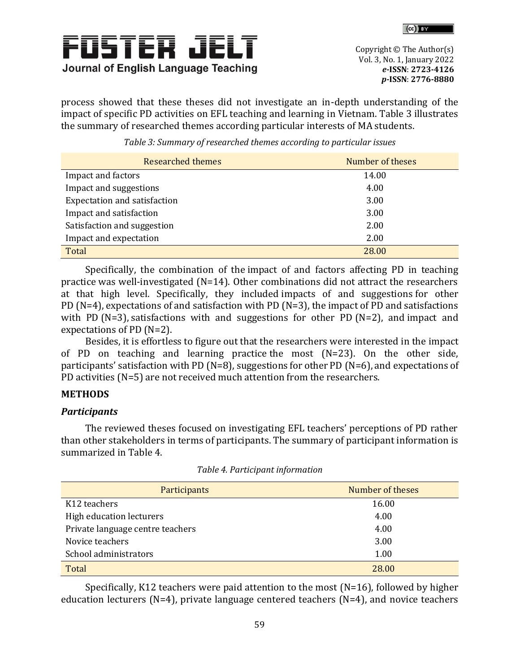



process showed that these theses did not investigate an in-depth understanding of the impact of specific PD activities on EFL teaching and learning in Vietnam. Table 3 illustrates the summary of researched themes according particular interests of MA students.

| <b>Researched themes</b>            | Number of theses |
|-------------------------------------|------------------|
| Impact and factors                  | 14.00            |
| Impact and suggestions              | 4.00             |
| <b>Expectation and satisfaction</b> | 3.00             |
| Impact and satisfaction             | 3.00             |
| Satisfaction and suggestion         | 2.00             |
| Impact and expectation              | 2.00             |
| Total                               | 28.00            |

*Table 3: Summary of researched themes according to particular issues*

Specifically, the combination of the impact of and factors affecting PD in teaching practice was well-investigated (N=14). Other combinations did not attract the researchers at that high level. Specifically, they included impacts of and suggestions for other PD (N=4), expectations of and satisfaction with PD (N=3), the impact of PD and satisfactions with PD (N=3), satisfactions with and suggestions for other PD (N=2), and impact and expectations of PD (N=2).

Besides, it is effortless to figure out that the researchers were interested in the impact of PD on teaching and learning practice the most (N=23). On the other side, participants' satisfaction with PD (N=8), suggestions for other PD (N=6), and expectations of PD activities (N=5) are not received much attention from the researchers.

# **METHODS**

# *Participants*

The reviewed theses focused on investigating EFL teachers' perceptions of PD rather than other stakeholders in terms of participants. The summary of participant information is summarized in Table 4.

| Participants                     | Number of theses |
|----------------------------------|------------------|
| K12 teachers                     | 16.00            |
| High education lecturers         | 4.00             |
| Private language centre teachers | 4.00             |
| Novice teachers                  | 3.00             |
| School administrators            | 1.00             |
| Total                            | 28.00            |

|  | Table 4. Participant information |
|--|----------------------------------|
|  |                                  |

Specifically, K12 teachers were paid attention to the most (N=16), followed by higher education lecturers ( $N=4$ ), private language centered teachers ( $N=4$ ), and novice teachers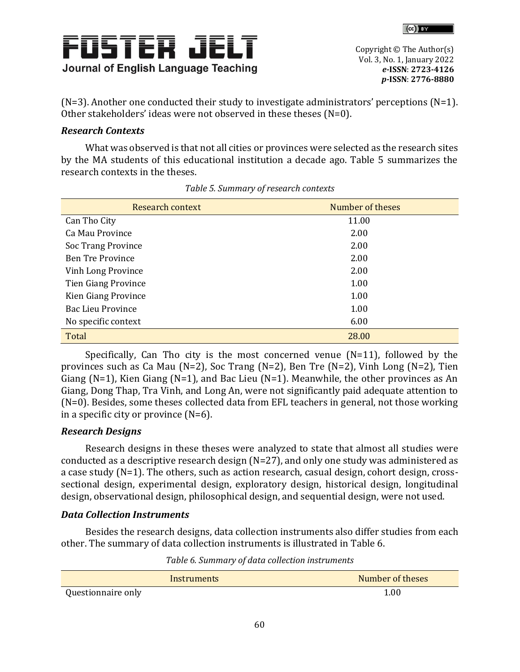



 $(N=3)$ . Another one conducted their study to investigate administrators' perceptions  $(N=1)$ . Other stakeholders' ideas were not observed in these theses (N=0).

# *Research Contexts*

What was observed is that not all cities or provinces were selected as the research sites by the MA students of this educational institution a decade ago. Table 5 summarizes the research contexts in the theses.

| Research context           | Number of theses |
|----------------------------|------------------|
| Can Tho City               | 11.00            |
| Ca Mau Province            | 2.00             |
| Soc Trang Province         | 2.00             |
| <b>Ben Tre Province</b>    | 2.00             |
| Vinh Long Province         | 2.00             |
| <b>Tien Giang Province</b> | 1.00             |
| Kien Giang Province        | 1.00             |
| <b>Bac Lieu Province</b>   | 1.00             |
| No specific context        | 6.00             |
| Total                      | 28.00            |

|  |  | Table 5. Summary of research contexts |  |
|--|--|---------------------------------------|--|
|--|--|---------------------------------------|--|

Specifically, Can Tho city is the most concerned venue (N=11), followed by the provinces such as Ca Mau (N=2), Soc Trang (N=2), Ben Tre (N=2), Vinh Long (N=2), Tien Giang (N=1), Kien Giang (N=1), and Bac Lieu (N=1). Meanwhile, the other provinces as An Giang, Dong Thap, Tra Vinh, and Long An, were not significantly paid adequate attention to (N=0). Besides, some theses collected data from EFL teachers in general, not those working in a specific city or province  $(N=6)$ .

# *Research Designs*

Research designs in these theses were analyzed to state that almost all studies were conducted as a descriptive research design  $(N=27)$ , and only one study was administered as a case study (N=1). The others, such as action research, casual design, cohort design, crosssectional design, experimental design, exploratory design, historical design, longitudinal design, observational design, philosophical design, and sequential design, were not used.

# *Data Collection Instruments*

Besides the research designs, data collection instruments also differ studies from each other. The summary of data collection instruments is illustrated in Table 6.

*Table 6. Summary of data collection instruments* 

| Instruments        | Number of theses |
|--------------------|------------------|
| Questionnaire only | 1.00             |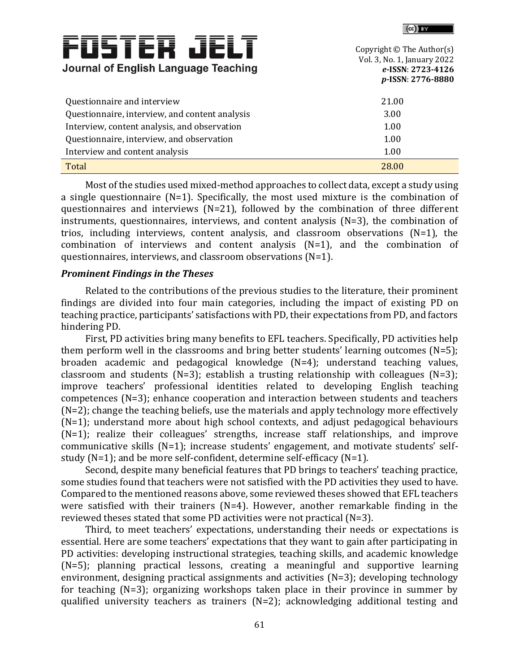|                                                    | ופן עשו                                                                                            |
|----------------------------------------------------|----------------------------------------------------------------------------------------------------|
| FUSTER JEI<br>Journal of English Language Teaching | Copyright © The Author(s)<br>Vol. 3, No. 1, January 2022<br>e-ISSN: 2723-4126<br>p-ISSN: 2776-8880 |
| Questionnaire and interview                        | 21.00                                                                                              |
| Questionnaire, interview, and content analysis     | 3.00                                                                                               |
| Interview, content analysis, and observation       | 1.00                                                                                               |
| Questionnaire, interview, and observation          | 1.00                                                                                               |
| Interview and content analysis                     | 1.00                                                                                               |
| Total                                              | 28.00                                                                                              |

 $\mathcal{L}$  . The same of  $\mathcal{L}$ 

Most of the studies used mixed-method approaches to collect data, except a study using a single questionnaire (N=1). Specifically, the most used mixture is the combination of questionnaires and interviews (N=21), followed by the combination of three different instruments, questionnaires, interviews, and content analysis (N=3), the combination of trios, including interviews, content analysis, and classroom observations (N=1), the combination of interviews and content analysis (N=1), and the combination of questionnaires, interviews, and classroom observations (N=1).

#### *Prominent Findings in the Theses*

Related to the contributions of the previous studies to the literature, their prominent findings are divided into four main categories, including the impact of existing PD on teaching practice, participants' satisfactions with PD, their expectations from PD, and factors hindering PD.

First, PD activities bring many benefits to EFL teachers. Specifically, PD activities help them perform well in the classrooms and bring better students' learning outcomes (N=5); broaden academic and pedagogical knowledge (N=4); understand teaching values, classroom and students (N=3); establish a trusting relationship with colleagues (N=3); improve teachers' professional identities related to developing English teaching competences (N=3); enhance cooperation and interaction between students and teachers (N=2); change the teaching beliefs, use the materials and apply technology more effectively (N=1); understand more about high school contexts, and adjust pedagogical behaviours (N=1); realize their colleagues' strengths, increase staff relationships, and improve communicative skills (N=1); increase students' engagement, and motivate students' selfstudy (N=1); and be more self-confident, determine self-efficacy (N=1).

Second, despite many beneficial features that PD brings to teachers' teaching practice, some studies found that teachers were not satisfied with the PD activities they used to have. Compared to the mentioned reasons above, some reviewed theses showed that EFL teachers were satisfied with their trainers (N=4). However, another remarkable finding in the reviewed theses stated that some PD activities were not practical (N=3).

Third, to meet teachers' expectations, understanding their needs or expectations is essential. Here are some teachers' expectations that they want to gain after participating in PD activities: developing instructional strategies, teaching skills, and academic knowledge (N=5); planning practical lessons, creating a meaningful and supportive learning environment, designing practical assignments and activities (N=3); developing technology for teaching (N=3); organizing workshops taken place in their province in summer by qualified university teachers as trainers (N=2); acknowledging additional testing and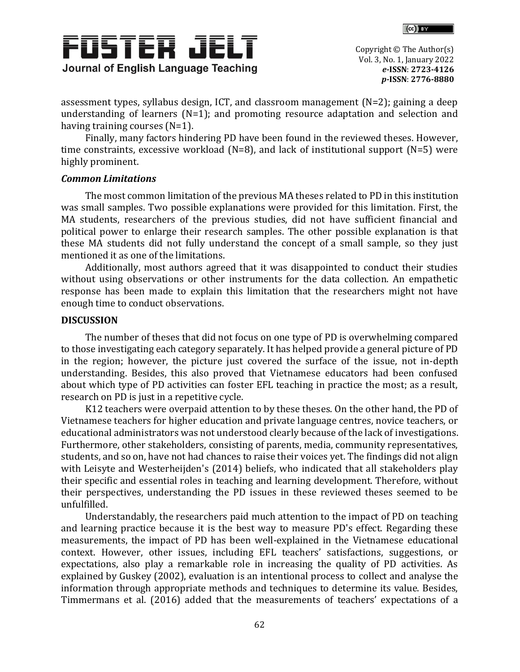



assessment types, syllabus design, ICT, and classroom management (N=2); gaining a deep understanding of learners (N=1); and promoting resource adaptation and selection and having training courses (N=1).

Finally, many factors hindering PD have been found in the reviewed theses. However, time constraints, excessive workload (N=8), and lack of institutional support (N=5) were highly prominent.

## *Common Limitations*

The most common limitation of the previous MA theses related to PD in this institution was small samples. Two possible explanations were provided for this limitation. First, the MA students, researchers of the previous studies, did not have sufficient financial and political power to enlarge their research samples. The other possible explanation is that these MA students did not fully understand the concept of a small sample, so they just mentioned it as one of the limitations.

Additionally, most authors agreed that it was disappointed to conduct their studies without using observations or other instruments for the data collection. An empathetic response has been made to explain this limitation that the researchers might not have enough time to conduct observations.

# **DISCUSSION**

The number of theses that did not focus on one type of PD is overwhelming compared to those investigating each category separately. It has helped provide a general picture of PD in the region; however, the picture just covered the surface of the issue, not in-depth understanding. Besides, this also proved that Vietnamese educators had been confused about which type of PD activities can foster EFL teaching in practice the most; as a result, research on PD is just in a repetitive cycle.

K12 teachers were overpaid attention to by these theses. On the other hand, the PD of Vietnamese teachers for higher education and private language centres, novice teachers, or educational administrators was not understood clearly because of the lack of investigations. Furthermore, other stakeholders, consisting of parents, media, community representatives, students, and so on, have not had chances to raise their voices yet. The findings did not align with Leisyte and Westerheijden's (2014) beliefs, who indicated that all stakeholders play their specific and essential roles in teaching and learning development. Therefore, without their perspectives, understanding the PD issues in these reviewed theses seemed to be unfulfilled.

Understandably, the researchers paid much attention to the impact of PD on teaching and learning practice because it is the best way to measure PD's effect. Regarding these measurements, the impact of PD has been well-explained in the Vietnamese educational context. However, other issues, including EFL teachers' satisfactions, suggestions, or expectations, also play a remarkable role in increasing the quality of PD activities. As explained by Guskey (2002), evaluation is an intentional process to collect and analyse the information through appropriate methods and techniques to determine its value. Besides, Timmermans et al. (2016) added that the measurements of teachers' expectations of a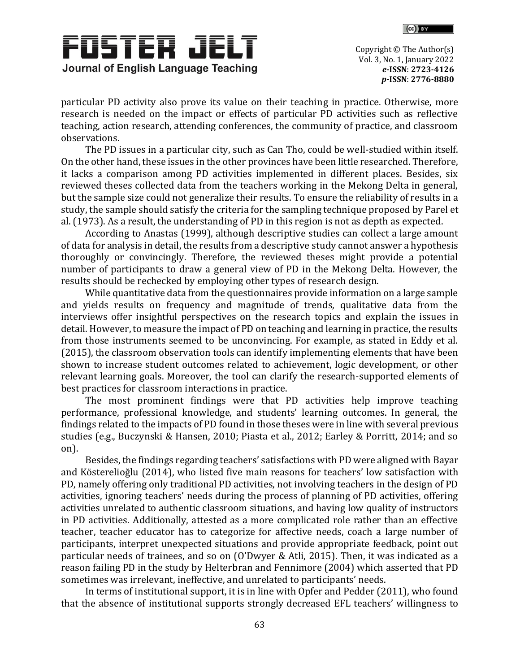



particular PD activity also prove its value on their teaching in practice. Otherwise, more research is needed on the impact or effects of particular PD activities such as reflective teaching, action research, attending conferences, the community of practice, and classroom observations.

The PD issues in a particular city, such as Can Tho, could be well-studied within itself. On the other hand, these issues in the other provinces have been little researched. Therefore, it lacks a comparison among PD activities implemented in different places. Besides, six reviewed theses collected data from the teachers working in the Mekong Delta in general, but the sample size could not generalize their results. To ensure the reliability of results in a study, the sample should satisfy the criteria for the sampling technique proposed by Parel et al. (1973). As a result, the understanding of PD in this region is not as depth as expected.

According to Anastas (1999), although descriptive studies can collect a large amount of data for analysis in detail, the results from a descriptive study cannot answer a hypothesis thoroughly or convincingly. Therefore, the reviewed theses might provide a potential number of participants to draw a general view of PD in the Mekong Delta. However, the results should be rechecked by employing other types of research design.

While quantitative data from the questionnaires provide information on a large sample and yields results on frequency and magnitude of trends, qualitative data from the interviews offer insightful perspectives on the research topics and explain the issues in detail. However, to measure the impact of PD on teaching and learning in practice, the results from those instruments seemed to be unconvincing. For example, as stated in Eddy et al. (2015), the classroom observation tools can identify implementing elements that have been shown to increase student outcomes related to achievement, logic development, or other relevant learning goals. Moreover, the tool can clarify the research-supported elements of best practices for classroom interactions in practice.

The most prominent findings were that PD activities help improve teaching performance, professional knowledge, and students' learning outcomes. In general, the findings related to the impacts of PD found in those theses were in line with several previous studies (e.g., Buczynski & Hansen, 2010; Piasta et al., 2012; Earley & Porritt, 2014; and so on).

Besides, the findings regarding teachers' satisfactions with PD were aligned with Bayar and Kösterelioğlu (2014), who listed five main reasons for teachers' low satisfaction with PD, namely offering only traditional PD activities, not involving teachers in the design of PD activities, ignoring teachers' needs during the process of planning of PD activities, offering activities unrelated to authentic classroom situations, and having low quality of instructors in PD activities. Additionally, attested as a more complicated role rather than an effective teacher, teacher educator has to categorize for affective needs, coach a large number of participants, interpret unexpected situations and provide appropriate feedback, point out particular needs of trainees, and so on (O'Dwyer & Atli, 2015). Then, it was indicated as a reason failing PD in the study by Helterbran and Fennimore (2004) which asserted that PD sometimes was irrelevant, ineffective, and unrelated to participants' needs.

In terms of institutional support, it is in line with Opfer and Pedder (2011), who found that the absence of institutional supports strongly decreased EFL teachers' willingness to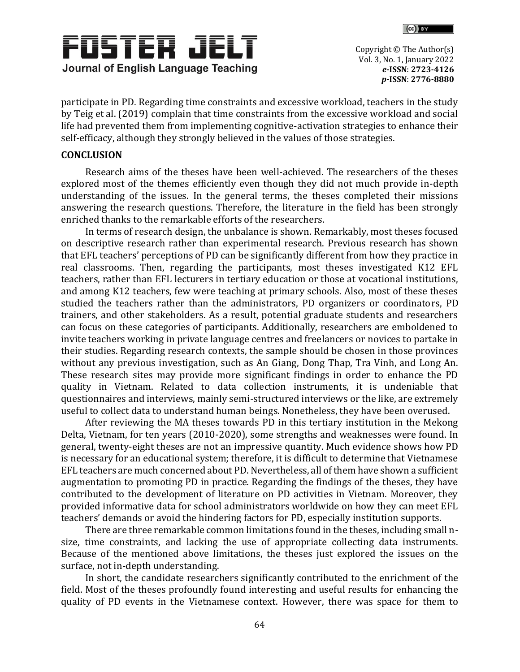



participate in PD. Regarding time constraints and excessive workload, teachers in the study by Teig et al. (2019) complain that time constraints from the excessive workload and social life had prevented them from implementing cognitive-activation strategies to enhance their self-efficacy, although they strongly believed in the values of those strategies.

# **CONCLUSION**

Research aims of the theses have been well-achieved. The researchers of the theses explored most of the themes efficiently even though they did not much provide in-depth understanding of the issues. In the general terms, the theses completed their missions answering the research questions. Therefore, the literature in the field has been strongly enriched thanks to the remarkable efforts of the researchers.

In terms of research design, the unbalance is shown. Remarkably, most theses focused on descriptive research rather than experimental research. Previous research has shown that EFL teachers' perceptions of PD can be significantly different from how they practice in real classrooms. Then, regarding the participants, most theses investigated K12 EFL teachers, rather than EFL lecturers in tertiary education or those at vocational institutions, and among K12 teachers, few were teaching at primary schools. Also, most of these theses studied the teachers rather than the administrators, PD organizers or coordinators, PD trainers, and other stakeholders. As a result, potential graduate students and researchers can focus on these categories of participants. Additionally, researchers are emboldened to invite teachers working in private language centres and freelancers or novices to partake in their studies. Regarding research contexts, the sample should be chosen in those provinces without any previous investigation, such as An Giang, Dong Thap, Tra Vinh, and Long An. These research sites may provide more significant findings in order to enhance the PD quality in Vietnam. Related to data collection instruments, it is undeniable that questionnaires and interviews, mainly semi-structured interviews or the like, are extremely useful to collect data to understand human beings. Nonetheless, they have been overused.

After reviewing the MA theses towards PD in this tertiary institution in the Mekong Delta, Vietnam, for ten years (2010-2020), some strengths and weaknesses were found. In general, twenty-eight theses are not an impressive quantity. Much evidence shows how PD is necessary for an educational system; therefore, it is difficult to determine that Vietnamese EFL teachers are much concerned about PD. Nevertheless, all of them have shown a sufficient augmentation to promoting PD in practice. Regarding the findings of the theses, they have contributed to the development of literature on PD activities in Vietnam. Moreover, they provided informative data for school administrators worldwide on how they can meet EFL teachers' demands or avoid the hindering factors for PD, especially institution supports.

There are three remarkable common limitations found in the theses, including small nsize, time constraints, and lacking the use of appropriate collecting data instruments. Because of the mentioned above limitations, the theses just explored the issues on the surface, not in-depth understanding.

In short, the candidate researchers significantly contributed to the enrichment of the field. Most of the theses profoundly found interesting and useful results for enhancing the quality of PD events in the Vietnamese context. However, there was space for them to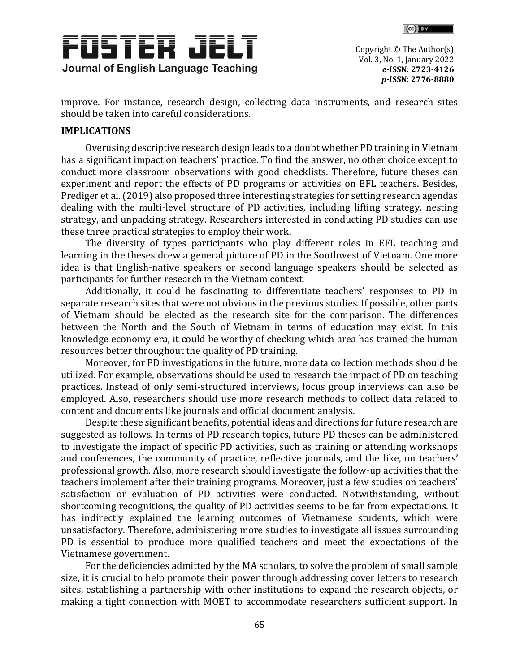



improve. For instance, research design, collecting data instruments, and research sites should be taken into careful considerations.

# **IMPLICATIONS**

Overusing descriptive research design leads to a doubt whether PD training in Vietnam has a significant impact on teachers' practice. To find the answer, no other choice except to conduct more classroom observations with good checklists. Therefore, future theses can experiment and report the effects of PD programs or activities on EFL teachers. Besides, Prediger et al. (2019) also proposed three interesting strategies for setting research agendas dealing with the multi-level structure of PD activities, including lifting strategy, nesting strategy, and unpacking strategy. Researchers interested in conducting PD studies can use these three practical strategies to employ their work.

The diversity of types participants who play different roles in EFL teaching and learning in the theses drew a general picture of PD in the Southwest of Vietnam. One more idea is that English-native speakers or second language speakers should be selected as participants for further research in the Vietnam context.

Additionally, it could be fascinating to differentiate teachers' responses to PD in separate research sites that were not obvious in the previous studies. If possible, other parts of Vietnam should be elected as the research site for the comparison. The differences between the North and the South of Vietnam in terms of education may exist. In this knowledge economy era, it could be worthy of checking which area has trained the human resources better throughout the quality of PD training.

Moreover, for PD investigations in the future, more data collection methods should be utilized. For example, observations should be used to research the impact of PD on teaching practices. Instead of only semi-structured interviews, focus group interviews can also be employed. Also, researchers should use more research methods to collect data related to content and documents like journals and official document analysis.

Despite these significant benefits, potential ideas and directions for future research are suggested as follows. In terms of PD research topics, future PD theses can be administered to investigate the impact of specific PD activities, such as training or attending workshops and conferences, the community of practice, reflective journals, and the like, on teachers' professional growth. Also, more research should investigate the follow-up activities that the teachers implement after their training programs. Moreover, just a few studies on teachers' satisfaction or evaluation of PD activities were conducted. Notwithstanding, without shortcoming recognitions, the quality of PD activities seems to be far from expectations. It has indirectly explained the learning outcomes of Vietnamese students, which were unsatisfactory. Therefore, administering more studies to investigate all issues surrounding PD is essential to produce more qualified teachers and meet the expectations of the Vietnamese government.

For the deficiencies admitted by the MA scholars, to solve the problem of small sample size, it is crucial to help promote their power through addressing cover letters to research sites, establishing a partnership with other institutions to expand the research objects, or making a tight connection with MOET to accommodate researchers sufficient support. In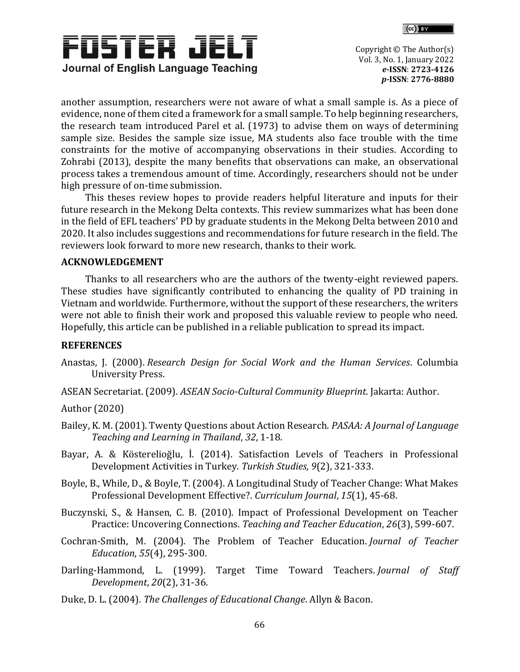



another assumption, researchers were not aware of what a small sample is. As a piece of evidence, none of them cited a framework for a small sample. To help beginning researchers, the research team introduced Parel et al. (1973) to advise them on ways of determining sample size. Besides the sample size issue, MA students also face trouble with the time constraints for the motive of accompanying observations in their studies. According to Zohrabi (2013), despite the many benefits that observations can make, an observational process takes a tremendous amount of time. Accordingly, researchers should not be under high pressure of on-time submission.

This theses review hopes to provide readers helpful literature and inputs for their future research in the Mekong Delta contexts. This review summarizes what has been done in the field of EFL teachers' PD by graduate students in the Mekong Delta between 2010 and 2020. It also includes suggestions and recommendations for future research in the field. The reviewers look forward to more new research, thanks to their work.

## **ACKNOWLEDGEMENT**

Thanks to all researchers who are the authors of the twenty-eight reviewed papers. These studies have significantly contributed to enhancing the quality of PD training in Vietnam and worldwide. Furthermore, without the support of these researchers, the writers were not able to finish their work and proposed this valuable review to people who need. Hopefully, this article can be published in a reliable publication to spread its impact.

# **REFERENCES**

- Anastas, J. (2000). *Research Design for Social Work and the Human Services*. Columbia University Press.
- ASEAN Secretariat. (2009). *ASEAN Socio-Cultural Community Blueprint*. Jakarta: Author.

Author (2020)

- Bailey, K. M. (2001). Twenty Questions about Action Research. *PASAA: A Journal of Language Teaching and Learning in Thailand*, *32*, 1-18.
- Bayar, A. & Kösterelioğlu, İ. (2014). Satisfaction Levels of Teachers in Professional Development Activities in Turkey. *Turkish Studies, 9*(2), 321-333.
- Boyle, B., While, D., & Boyle, T. (2004). A Longitudinal Study of Teacher Change: What Makes Professional Development Effective?. *Curriculum Journal*, *15*(1), 45-68.
- Buczynski, S., & Hansen, C. B. (2010). Impact of Professional Development on Teacher Practice: Uncovering Connections. *Teaching and Teacher Education*, *26*(3), 599-607.
- Cochran-Smith, M. (2004). The Problem of Teacher Education. *Journal of Teacher Education*, *55*(4), 295-300.
- Darling-Hammond, L. (1999). Target Time Toward Teachers. *Journal of Staff Development*, *20*(2), 31-36.
- Duke, D. L. (2004). *The Challenges of Educational Change*. Allyn & Bacon.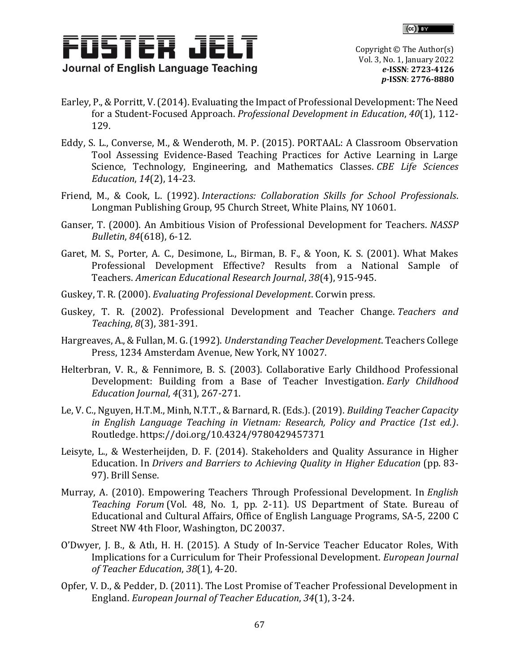



- Earley, P., & Porritt, V. (2014). Evaluating the Impact of Professional Development: The Need for a Student-Focused Approach. *Professional Development in Education*, *40*(1), 112- 129.
- Eddy, S. L., Converse, M., & Wenderoth, M. P. (2015). PORTAAL: A Classroom Observation Tool Assessing Evidence-Based Teaching Practices for Active Learning in Large Science, Technology, Engineering, and Mathematics Classes. *CBE Life Sciences Education*, *14*(2), 14-23.
- Friend, M., & Cook, L. (1992). *Interactions: Collaboration Skills for School Professionals*. Longman Publishing Group, 95 Church Street, White Plains, NY 10601.
- Ganser, T. (2000). An Ambitious Vision of Professional Development for Teachers. *NASSP Bulletin*, *84*(618), 6-12.
- Garet, M. S., Porter, A. C., Desimone, L., Birman, B. F., & Yoon, K. S. (2001). What Makes Professional Development Effective? Results from a National Sample of Teachers. *American Educational Research Journal*, *38*(4), 915-945.
- Guskey, T. R. (2000). *Evaluating Professional Development*. Corwin press.
- Guskey, T. R. (2002). Professional Development and Teacher Change. *Teachers and Teaching*, *8*(3), 381-391.
- Hargreaves, A., & Fullan, M. G. (1992). *Understanding Teacher Development*. Teachers College Press, 1234 Amsterdam Avenue, New York, NY 10027.
- Helterbran, V. R., & Fennimore, B. S. (2003). Collaborative Early Childhood Professional Development: Building from a Base of Teacher Investigation. *Early Childhood Education Journal*, *4*(31), 267-271.
- Le, V. C., Nguyen, H.T.M., Minh, N.T.T., & Barnard, R. (Eds.). (2019). *Building Teacher Capacity in English Language Teaching in Vietnam: Research, Policy and Practice (1st ed.)*. Routledge.<https://doi.org/10.4324/9780429457371>
- Leisyte, L., & Westerheijden, D. F. (2014). Stakeholders and Quality Assurance in Higher Education. In *Drivers and Barriers to Achieving Quality in Higher Education* (pp. 83- 97). Brill Sense.
- Murray, A. (2010). Empowering Teachers Through Professional Development. In *English Teaching Forum* (Vol. 48, No. 1, pp. 2-11). US Department of State. Bureau of Educational and Cultural Affairs, Office of English Language Programs, SA-5, 2200 C Street NW 4th Floor, Washington, DC 20037.
- O'Dwyer, J. B., & Atlı, H. H. (2015). A Study of In-Service Teacher Educator Roles, With Implications for a Curriculum for Their Professional Development. *European Journal of Teacher Education*, *38*(1), 4-20.
- Opfer, V. D., & Pedder, D. (2011). The Lost Promise of Teacher Professional Development in England. *European Journal of Teacher Education*, *34*(1), 3-24.